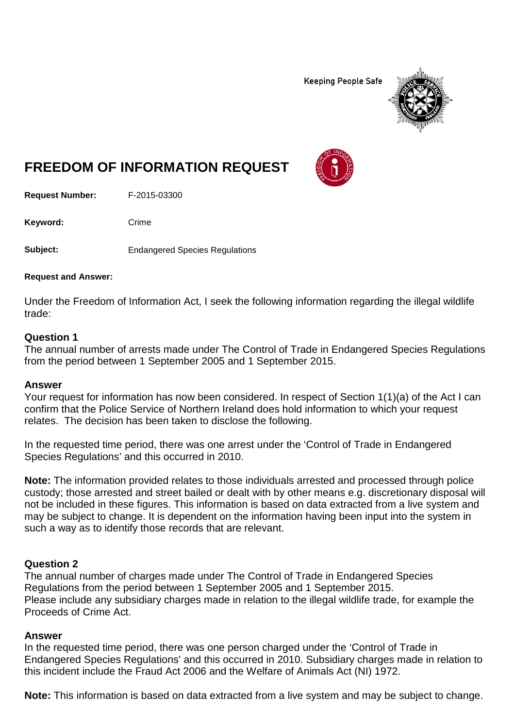**Keeping People Safe** 



# **FREEDOM OF INFORMATION REQUEST**

**Request Number:** F-2015-03300

Keyword: Crime

**Subject:** Endangered Species Regulations

**Request and Answer:**

Under the Freedom of Information Act, I seek the following information regarding the illegal wildlife trade:

#### **Question 1**

The annual number of arrests made under The Control of Trade in Endangered Species Regulations from the period between 1 September 2005 and 1 September 2015.

#### **Answer**

Your request for information has now been considered. In respect of Section 1(1)(a) of the Act I can confirm that the Police Service of Northern Ireland does hold information to which your request relates. The decision has been taken to disclose the following.

In the requested time period, there was one arrest under the 'Control of Trade in Endangered Species Regulations' and this occurred in 2010.

**Note:** The information provided relates to those individuals arrested and processed through police custody; those arrested and street bailed or dealt with by other means e.g. discretionary disposal will not be included in these figures. This information is based on data extracted from a live system and may be subject to change. It is dependent on the information having been input into the system in such a way as to identify those records that are relevant.

### **Question 2**

The annual number of charges made under The Control of Trade in Endangered Species Regulations from the period between 1 September 2005 and 1 September 2015. Please include any subsidiary charges made in relation to the illegal wildlife trade, for example the Proceeds of Crime Act.

### **Answer**

In the requested time period, there was one person charged under the 'Control of Trade in Endangered Species Regulations' and this occurred in 2010. Subsidiary charges made in relation to this incident include the Fraud Act 2006 and the Welfare of Animals Act (NI) 1972.

**Note:** This information is based on data extracted from a live system and may be subject to change.